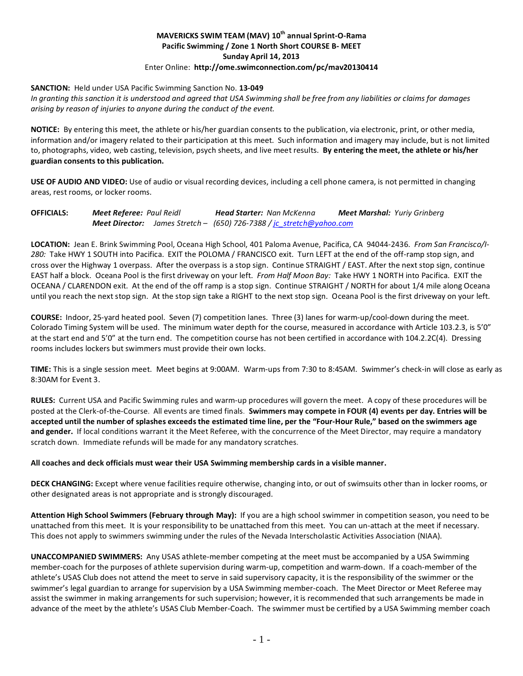## **MAVERICKS SWIM TEAM (MAV) 10th annual Sprint-O-Rama Pacific Swimming / Zone 1 North Short COURSE B- MEET Sunday April 14, 2013** Enter Online: **http://ome.swimconnection.com/pc/mav20130414**

### **SANCTION:** Held under USA Pacific Swimming Sanction No. **13-049**

*In granting this sanction it is understood and agreed that USA Swimming shall be free from any liabilities or claims for damages arising by reason of injuries to anyone during the conduct of the event.*

**NOTICE:** By entering this meet, the athlete or his/her guardian consents to the publication, via electronic, print, or other media, information and/or imagery related to their participation at this meet. Such information and imagery may include, but is not limited to, photographs, video, web casting, television, psych sheets, and live meet results. **By entering the meet, the athlete or his/her guardian consents to this publication.**

**USE OF AUDIO AND VIDEO:** Use of audio or visual recording devices, including a cell phone camera, is not permitted in changing areas, rest rooms, or locker rooms.

## **OFFICIALS:** *Meet Referee: Paul Reidl Head Starter: Nan McKenna Meet Marshal: Yuriy Grinberg Meet Director: James Stretch – (650) 726-7388 [/ jc\\_stretch@yahoo.com](mailto:jc_stretch@yahoo.com)*

**LOCATION:** Jean E. Brink Swimming Pool, Oceana High School, 401 Paloma Avenue, Pacifica, CA 94044-2436. *From San Francisco/I-280:* Take HWY 1 SOUTH into Pacifica. EXIT the POLOMA / FRANCISCO exit. Turn LEFT at the end of the off-ramp stop sign, and cross over the Highway 1 overpass. After the overpass is a stop sign. Continue STRAIGHT / EAST. After the next stop sign, continue EAST half a block. Oceana Pool is the first driveway on your left. *From Half Moon Bay:* Take HWY 1 NORTH into Pacifica. EXIT the OCEANA / CLARENDON exit. At the end of the off ramp is a stop sign. Continue STRAIGHT / NORTH for about 1/4 mile along Oceana until you reach the next stop sign. At the stop sign take a RIGHT to the next stop sign. Oceana Pool is the first driveway on your left.

**COURSE:** Indoor, 25-yard heated pool. Seven (7) competition lanes. Three (3) lanes for warm-up/cool-down during the meet. Colorado Timing System will be used. The minimum water depth for the course, measured in accordance with Article 103.2.3, is 5'0" at the start end and 5'0" at the turn end. The competition course has not been certified in accordance with 104.2.2C(4). Dressing rooms includes lockers but swimmers must provide their own locks.

**TIME:** This is a single session meet. Meet begins at 9:00AM. Warm-ups from 7:30 to 8:45AM. Swimmer's check-in will close as early as 8:30AM for Event 3.

**RULES:** Current USA and Pacific Swimming rules and warm-up procedures will govern the meet. A copy of these procedures will be posted at the Clerk-of-the-Course. All events are timed finals. **Swimmers may compete in FOUR (4) events per day. Entries will be accepted until the number of splashes exceeds the estimated time line, per the "Four-Hour Rule," based on the swimmers age and gender.** If local conditions warrant it the Meet Referee, with the concurrence of the Meet Director, may require a mandatory scratch down. Immediate refunds will be made for any mandatory scratches.

### **All coaches and deck officials must wear their USA Swimming membership cards in a visible manner.**

**DECK CHANGING:** Except where venue facilities require otherwise, changing into, or out of swimsuits other than in locker rooms, or other designated areas is not appropriate and is strongly discouraged.

**Attention High School Swimmers (February through May):** If you are a high school swimmer in competition season, you need to be unattached from this meet. It is your responsibility to be unattached from this meet. You can un-attach at the meet if necessary. This does not apply to swimmers swimming under the rules of the Nevada Interscholastic Activities Association (NIAA).

**UNACCOMPANIED SWIMMERS:** Any USAS athlete-member competing at the meet must be accompanied by a USA Swimming member-coach for the purposes of athlete supervision during warm-up, competition and warm-down. If a coach-member of the athlete's USAS Club does not attend the meet to serve in said supervisory capacity, it is the responsibility of the swimmer or the swimmer's legal guardian to arrange for supervision by a USA Swimming member-coach. The Meet Director or Meet Referee may assist the swimmer in making arrangements for such supervision; however, it is recommended that such arrangements be made in advance of the meet by the athlete's USAS Club Member-Coach. The swimmer must be certified by a USA Swimming member coach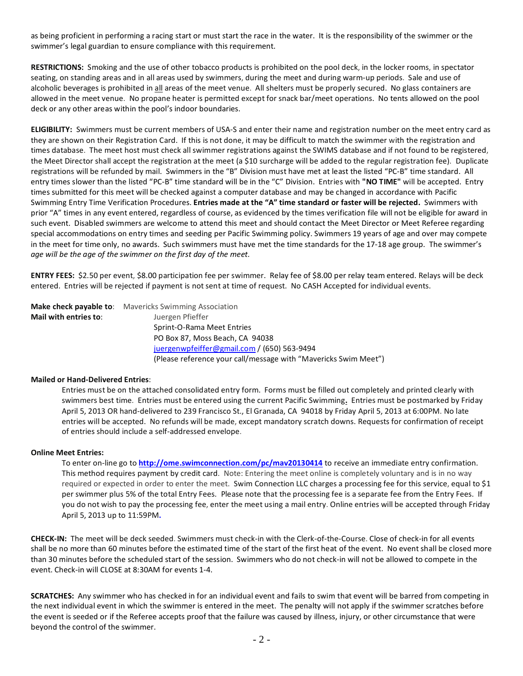as being proficient in performing a racing start or must start the race in the water. It is the responsibility of the swimmer or the swimmer's legal guardian to ensure compliance with this requirement.

**RESTRICTIONS:** Smoking and the use of other tobacco products is prohibited on the pool deck, in the locker rooms, in spectator seating, on standing areas and in all areas used by swimmers, during the meet and during warm-up periods. Sale and use of alcoholic beverages is prohibited in all areas of the meet venue. All shelters must be properly secured. No glass containers are allowed in the meet venue. No propane heater is permitted except for snack bar/meet operations. No tents allowed on the pool deck or any other areas within the pool's indoor boundaries.

**ELIGIBILITY:** Swimmers must be current members of USA-S and enter their name and registration number on the meet entry card as they are shown on their Registration Card. If this is not done, it may be difficult to match the swimmer with the registration and times database. The meet host must check all swimmer registrations against the SWIMS database and if not found to be registered, the Meet Director shall accept the registration at the meet (a \$10 surcharge will be added to the regular registration fee). Duplicate registrations will be refunded by mail. Swimmers in the "B" Division must have met at least the listed "PC-B" time standard. All entry times slower than the listed "PC-B" time standard will be in the "C" Division. Entries with **"NO TIME"** will be accepted. Entry times submitted for this meet will be checked against a computer database and may be changed in accordance with Pacific Swimming Entry Time Verification Procedures. **Entries made at the "A" time standard or faster will be rejected.** Swimmers with prior "A" times in any event entered, regardless of course, as evidenced by the times verification file will not be eligible for award in such event. Disabled swimmers are welcome to attend this meet and should contact the Meet Director or Meet Referee regarding special accommodations on entry times and seeding per Pacific Swimming policy. Swimmers 19 years of age and over may compete in the meet for time only, no awards. Such swimmers must have met the time standards for the 17-18 age group. The swimmer's *age will be the age of the swimmer on the first day of the meet.*

**ENTRY FEES:** \$2.50 per event, \$8.00 participation fee per swimmer. Relay fee of \$8.00 per relay team entered. Relays will be deck entered. Entries will be rejected if payment is not sent at time of request. No CASH Accepted for individual events.

|                       | <b>Make check payable to:</b> Mavericks Swimming Association    |
|-----------------------|-----------------------------------------------------------------|
| Mail with entries to: | Juergen Pfieffer                                                |
|                       | Sprint-O-Rama Meet Entries                                      |
|                       | PO Box 87, Moss Beach, CA 94038                                 |
|                       | juergenwpfeiffer@gmail.com / (650) 563-9494                     |
|                       | (Please reference your call/message with "Mavericks Swim Meet") |

#### **Mailed or Hand-Delivered Entries**:

Entries must be on the attached consolidated entry form. Forms must be filled out completely and printed clearly with swimmers best time. Entries must be entered using the current Pacific Swimming**.** Entries must be postmarked by Friday April 5, 2013 OR hand-delivered to 239 Francisco St., El Granada, CA 94018 by Friday April 5, 2013 at 6:00PM. No late entries will be accepted. No refunds will be made, except mandatory scratch downs. Requests for confirmation of receipt of entries should include a self-addressed envelope.

#### **Online Meet Entries:**

To enter on-line go to **[http://ome.swimconnection.com/pc/m](http://ome.swimconnection.com/pc/)av20130414** to receive an immediate entry confirmation. This method requires payment by credit card. Note: Entering the meet online is completely voluntary and is in no way required or expected in order to enter the meet. Swim Connection LLC charges a processing fee for this service, equal to \$1 per swimmer plus 5% of the total Entry Fees. Please note that the processing fee is a separate fee from the Entry Fees. If you do not wish to pay the processing fee, enter the meet using a mail entry. Online entries will be accepted through Friday April 5, 2013 up to 11:59PM**.**

**CHECK-IN:** The meet will be deck seeded. Swimmers must check-in with the Clerk-of-the-Course. Close of check-in for all events shall be no more than 60 minutes before the estimated time of the start of the first heat of the event. No event shall be closed more than 30 minutes before the scheduled start of the session. Swimmers who do not check-in will not be allowed to compete in the event. Check-in will CLOSE at 8:30AM for events 1-4.

**SCRATCHES:** Any swimmer who has checked in for an individual event and fails to swim that event will be barred from competing in the next individual event in which the swimmer is entered in the meet. The penalty will not apply if the swimmer scratches before the event is seeded or if the Referee accepts proof that the failure was caused by illness, injury, or other circumstance that were beyond the control of the swimmer.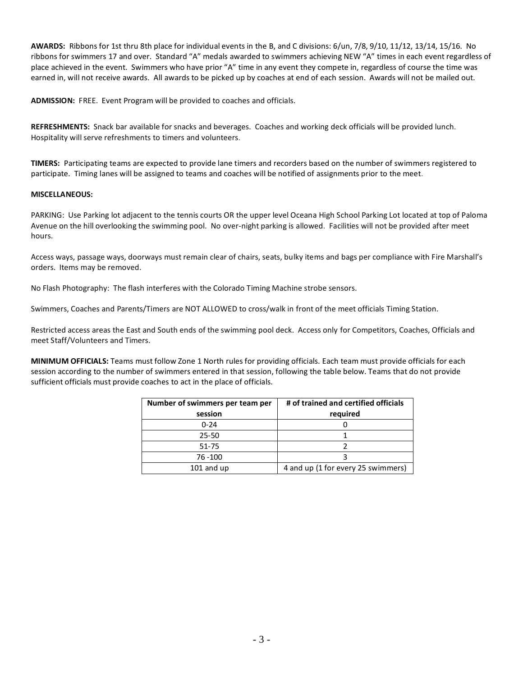**AWARDS:** Ribbons for 1st thru 8th place for individual events in the B, and C divisions: 6/un, 7/8, 9/10, 11/12, 13/14, 15/16. No ribbons for swimmers 17 and over. Standard "A" medals awarded to swimmers achieving NEW "A" times in each event regardless of place achieved in the event. Swimmers who have prior "A" time in any event they compete in, regardless of course the time was earned in, will not receive awards. All awards to be picked up by coaches at end of each session. Awards will not be mailed out.

**ADMISSION:** FREE. Event Program will be provided to coaches and officials.

**REFRESHMENTS:** Snack bar available for snacks and beverages. Coaches and working deck officials will be provided lunch. Hospitality will serve refreshments to timers and volunteers.

**TIMERS:** Participating teams are expected to provide lane timers and recorders based on the number of swimmers registered to participate. Timing lanes will be assigned to teams and coaches will be notified of assignments prior to the meet.

#### **MISCELLANEOUS:**

PARKING:Use Parking lot adjacent to the tennis courts OR the upper level Oceana High School Parking Lot located at top of Paloma Avenue on the hill overlooking the swimming pool. No over-night parking is allowed. Facilities will not be provided after meet hours.

Access ways, passage ways, doorways must remain clear of chairs, seats, bulky items and bags per compliance with Fire Marshall's orders. Items may be removed.

No Flash Photography: The flash interferes with the Colorado Timing Machine strobe sensors.

Swimmers, Coaches and Parents/Timers are NOT ALLOWED to cross/walk in front of the meet officials Timing Station.

Restricted access areas the East and South ends of the swimming pool deck. Access only for Competitors, Coaches, Officials and meet Staff/Volunteers and Timers.

**MINIMUM OFFICIALS:** Teams must follow Zone 1 North rules for providing officials. Each team must provide officials for each session according to the number of swimmers entered in that session, following the table below. Teams that do not provide sufficient officials must provide coaches to act in the place of officials.

| Number of swimmers per team per | # of trained and certified officials |  |  |
|---------------------------------|--------------------------------------|--|--|
| session                         | required                             |  |  |
| $0 - 24$                        |                                      |  |  |
| $25 - 50$                       |                                      |  |  |
| 51-75                           |                                      |  |  |
| 76 - 100                        |                                      |  |  |
| $101$ and up                    | 4 and up (1 for every 25 swimmers)   |  |  |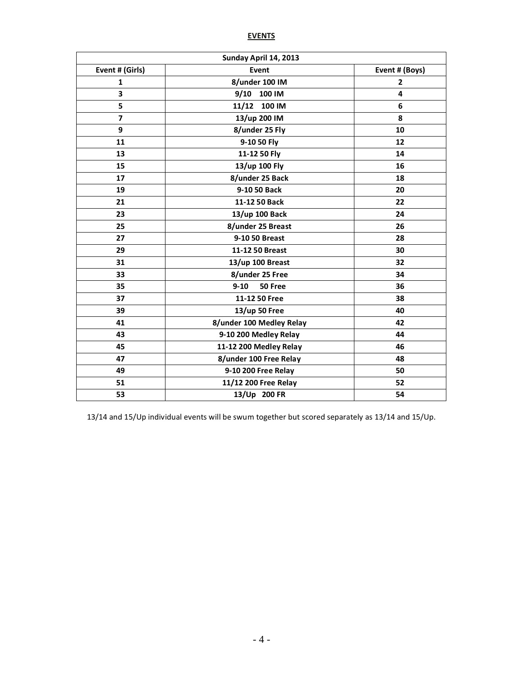# **EVENTS**

| Sunday April 14, 2013 |                          |                |  |  |  |  |
|-----------------------|--------------------------|----------------|--|--|--|--|
| Event # (Girls)       | Event                    | Event # (Boys) |  |  |  |  |
| $\mathbf{1}$          | 8/under 100 IM           | $\overline{2}$ |  |  |  |  |
| 3                     | 9/10<br>100 IM           | 4              |  |  |  |  |
| 5                     | 100 IM<br>11/12          | 6              |  |  |  |  |
| $\overline{7}$        | 13/up 200 IM             | 8              |  |  |  |  |
| 9                     | 8/under 25 Fly           | 10             |  |  |  |  |
| 11                    | 9-10 50 Fly              | 12             |  |  |  |  |
| 13                    | 11-12 50 Fly             | 14             |  |  |  |  |
| 15                    | 13/up 100 Fly            | 16             |  |  |  |  |
| 17                    | 8/under 25 Back          | 18             |  |  |  |  |
| 19                    | 9-10 50 Back             | 20             |  |  |  |  |
| 21                    | 11-12 50 Back            | 22             |  |  |  |  |
| 23                    | 13/up 100 Back           | 24             |  |  |  |  |
| 25                    | 8/under 25 Breast        | 26             |  |  |  |  |
| 27                    | 9-10 50 Breast           | 28             |  |  |  |  |
| 29                    | 11-12 50 Breast          | 30             |  |  |  |  |
| 31                    | 13/up 100 Breast         | 32             |  |  |  |  |
| 33                    | 8/under 25 Free          | 34             |  |  |  |  |
| 35                    | $9 - 10$<br>50 Free      | 36             |  |  |  |  |
| 37                    | 11-12 50 Free            | 38             |  |  |  |  |
| 39                    | 13/up 50 Free            | 40             |  |  |  |  |
| 41                    | 8/under 100 Medley Relay | 42             |  |  |  |  |
| 43                    | 9-10 200 Medley Relay    | 44             |  |  |  |  |
| 45                    | 11-12 200 Medley Relay   | 46             |  |  |  |  |
| 47                    | 8/under 100 Free Relay   | 48             |  |  |  |  |
| 49                    | 9-10 200 Free Relay      | 50             |  |  |  |  |
| 51                    | 11/12 200 Free Relay     | 52             |  |  |  |  |
| 53                    | 13/Up 200 FR             | 54             |  |  |  |  |

13/14 and 15/Up individual events will be swum together but scored separately as 13/14 and 15/Up.